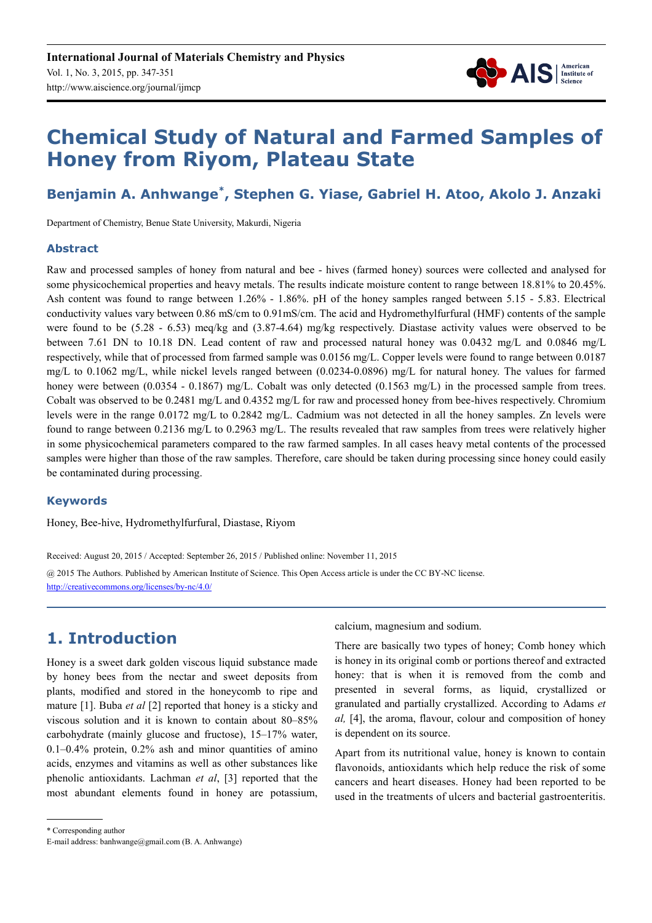

# **Chemical Study of Natural and Farmed Samples of Honey from Riyom, Plateau State**

## **Benjamin A. Anhwange\* , Stephen G. Yiase, Gabriel H. Atoo, Akolo J. Anzaki**

Department of Chemistry, Benue State University, Makurdi, Nigeria

#### **Abstract**

Raw and processed samples of honey from natural and bee - hives (farmed honey) sources were collected and analysed for some physicochemical properties and heavy metals. The results indicate moisture content to range between 18.81% to 20.45%. Ash content was found to range between 1.26% - 1.86%. pH of the honey samples ranged between 5.15 - 5.83. Electrical conductivity values vary between 0.86 mS/cm to 0.91mS/cm. The acid and Hydromethylfurfural (HMF) contents of the sample were found to be (5.28 - 6.53) meq/kg and (3.87-4.64) mg/kg respectively. Diastase activity values were observed to be between 7.61 DN to 10.18 DN. Lead content of raw and processed natural honey was 0.0432 mg/L and 0.0846 mg/L respectively, while that of processed from farmed sample was 0.0156 mg/L. Copper levels were found to range between 0.0187 mg/L to 0.1062 mg/L, while nickel levels ranged between (0.0234-0.0896) mg/L for natural honey. The values for farmed honey were between (0.0354 - 0.1867) mg/L. Cobalt was only detected (0.1563 mg/L) in the processed sample from trees. Cobalt was observed to be 0.2481 mg/L and 0.4352 mg/L for raw and processed honey from bee-hives respectively. Chromium levels were in the range 0.0172 mg/L to 0.2842 mg/L. Cadmium was not detected in all the honey samples. Zn levels were found to range between 0.2136 mg/L to 0.2963 mg/L. The results revealed that raw samples from trees were relatively higher in some physicochemical parameters compared to the raw farmed samples. In all cases heavy metal contents of the processed samples were higher than those of the raw samples. Therefore, care should be taken during processing since honey could easily be contaminated during processing.

#### **Keywords**

Honey, Bee-hive, Hydromethylfurfural, Diastase, Riyom

Received: August 20, 2015 / Accepted: September 26, 2015 / Published online: November 11, 2015 @ 2015 The Authors. Published by American Institute of Science. This Open Access article is under the CC BY-NC license. http://creativecommons.org/licenses/by-nc/4.0/

## **1. Introduction**

Honey is a sweet dark golden viscous liquid substance made by honey bees from the nectar and sweet deposits from plants, modified and stored in the honeycomb to ripe and mature [1]. Buba *et al* [2] reported that honey is a sticky and viscous solution and it is known to contain about 80–85% carbohydrate (mainly glucose and fructose), 15–17% water, 0.1–0.4% protein, 0.2% ash and minor quantities of amino acids, enzymes and vitamins as well as other substances like phenolic antioxidants. Lachman *et al*, [3] reported that the most abundant elements found in honey are potassium, calcium, magnesium and sodium.

There are basically two types of honey; Comb honey which is honey in its original comb or portions thereof and extracted honey: that is when it is removed from the comb and presented in several forms, as liquid, crystallized or granulated and partially crystallized. According to Adams *et al,* [4], the aroma, flavour, colour and composition of honey is dependent on its source.

Apart from its nutritional value, honey is known to contain flavonoids, antioxidants which help reduce the risk of some cancers and heart diseases. Honey had been reported to be used in the treatments of ulcers and bacterial gastroenteritis.

<sup>\*</sup> Corresponding author

E-mail address: banhwange@gmail.com (B. A. Anhwange)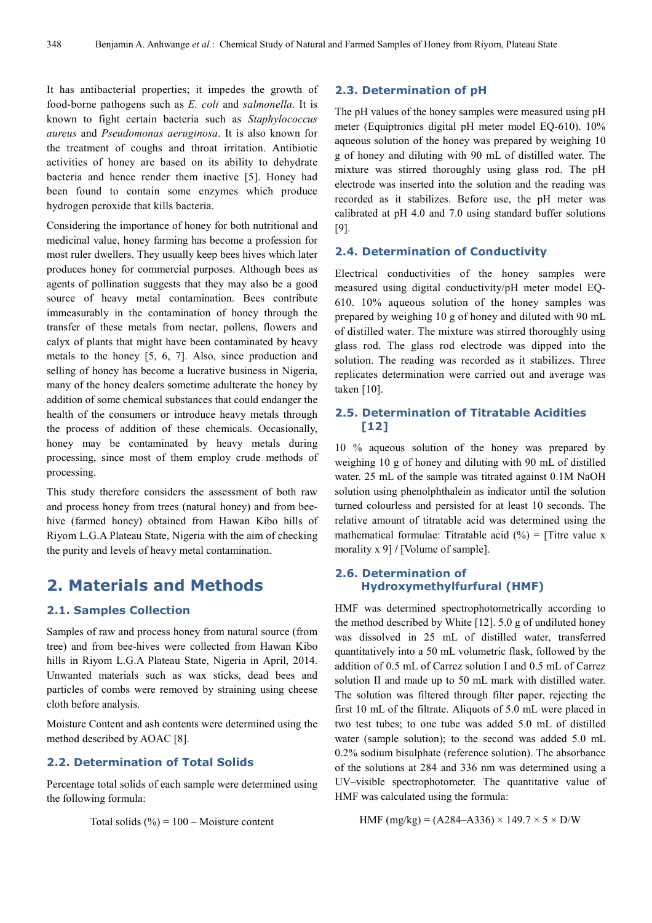It has antibacterial properties; it impedes the growth of food-borne pathogens such as *E. coli* and *salmonella*. It is known to fight certain bacteria such as *Staphylococcus aureus* and *Pseudomonas aeruginosa*. It is also known for the treatment of coughs and throat irritation. Antibiotic activities of honey are based on its ability to dehydrate bacteria and hence render them inactive [5]. Honey had been found to contain some enzymes which produce hydrogen peroxide that kills bacteria.

Considering the importance of honey for both nutritional and medicinal value, honey farming has become a profession for most ruler dwellers. They usually keep bees hives which later produces honey for commercial purposes. Although bees as agents of pollination suggests that they may also be a good source of heavy metal contamination. Bees contribute immeasurably in the contamination of honey through the transfer of these metals from nectar, pollens, flowers and calyx of plants that might have been contaminated by heavy metals to the honey [5, 6, 7]. Also, since production and selling of honey has become a lucrative business in Nigeria, many of the honey dealers sometime adulterate the honey by addition of some chemical substances that could endanger the health of the consumers or introduce heavy metals through the process of addition of these chemicals. Occasionally, honey may be contaminated by heavy metals during processing, since most of them employ crude methods of processing.

This study therefore considers the assessment of both raw and process honey from trees (natural honey) and from beehive (farmed honey) obtained from Hawan Kibo hills of Riyom L.G.A Plateau State, Nigeria with the aim of checking the purity and levels of heavy metal contamination.

### **2. Materials and Methods**

#### **2.1. Samples Collection**

Samples of raw and process honey from natural source (from tree) and from bee-hives were collected from Hawan Kibo hills in Riyom L.G.A Plateau State, Nigeria in April, 2014. Unwanted materials such as wax sticks, dead bees and particles of combs were removed by straining using cheese cloth before analysis.

Moisture Content and ash contents were determined using the method described by AOAC [8].

#### **2.2. Determination of Total Solids**

Percentage total solids of each sample were determined using the following formula:

Total solids 
$$
(\%) = 100 - \text{Moisture content}
$$

#### **2.3. Determination of pH**

The pH values of the honey samples were measured using pH meter (Equiptronics digital pH meter model EQ-610). 10% aqueous solution of the honey was prepared by weighing 10 g of honey and diluting with 90 mL of distilled water. The mixture was stirred thoroughly using glass rod. The pH electrode was inserted into the solution and the reading was recorded as it stabilizes. Before use, the pH meter was calibrated at pH 4.0 and 7.0 using standard buffer solutions [9].

#### **2.4. Determination of Conductivity**

Electrical conductivities of the honey samples were measured using digital conductivity/pH meter model EQ-610. 10% aqueous solution of the honey samples was prepared by weighing 10 g of honey and diluted with 90 mL of distilled water. The mixture was stirred thoroughly using glass rod. The glass rod electrode was dipped into the solution. The reading was recorded as it stabilizes. Three replicates determination were carried out and average was taken [10].

#### **2.5. Determination of Titratable Acidities [12]**

10 % aqueous solution of the honey was prepared by weighing 10 g of honey and diluting with 90 mL of distilled water. 25 mL of the sample was titrated against 0.1M NaOH solution using phenolphthalein as indicator until the solution turned colourless and persisted for at least 10 seconds. The relative amount of titratable acid was determined using the mathematical formulae: Titratable acid  $(\% )$  = [Titre value x morality x 9] **/** [Volume of sample].

#### **2.6. Determination of Hydroxymethylfurfural (HMF)**

HMF was determined spectrophotometrically according to the method described by White [12]. 5.0 g of undiluted honey was dissolved in 25 mL of distilled water, transferred quantitatively into a 50 mL volumetric flask, followed by the addition of 0.5 mL of Carrez solution I and 0.5 mL of Carrez solution II and made up to 50 mL mark with distilled water. The solution was filtered through filter paper, rejecting the first 10 mL of the filtrate. Aliquots of 5.0 mL were placed in two test tubes; to one tube was added 5.0 mL of distilled water (sample solution); to the second was added 5.0 mL 0.2% sodium bisulphate (reference solution). The absorbance of the solutions at 284 and 336 nm was determined using a UV–visible spectrophotometer. The quantitative value of HMF was calculated using the formula:

HMF (mg/kg) =  $(A284 - A336) \times 149.7 \times 5 \times D/W$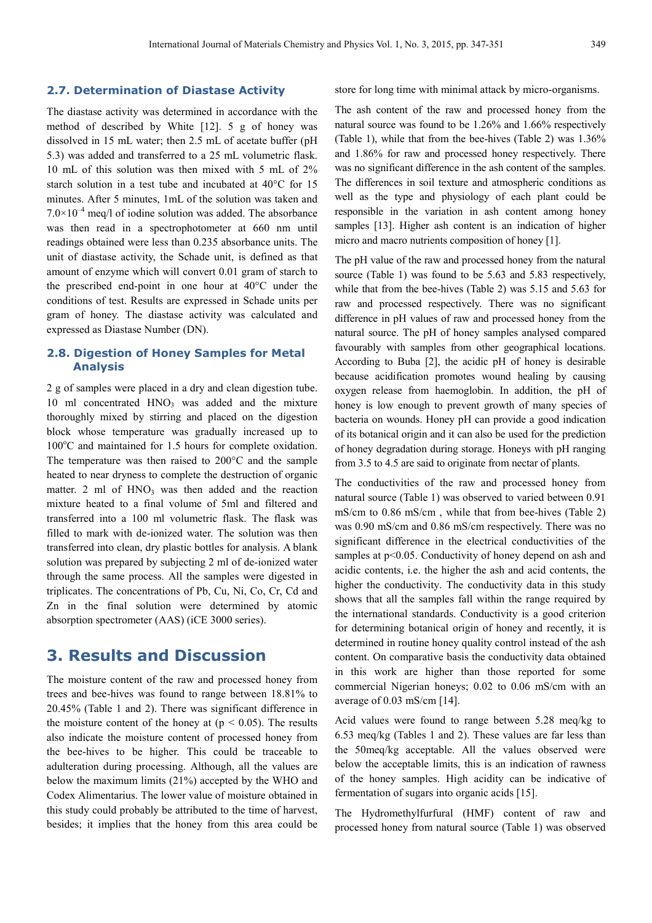#### **2.7. Determination of Diastase Activity**

The diastase activity was determined in accordance with the method of described by White [12]. 5 g of honey was dissolved in 15 mL water; then 2.5 mL of acetate buffer (pH 5.3) was added and transferred to a 25 mL volumetric flask. 10 mL of this solution was then mixed with 5 mL of 2% starch solution in a test tube and incubated at 40°C for 15 minutes. After 5 minutes, 1mL of the solution was taken and  $7.0\times10^{-4}$  meq/l of iodine solution was added. The absorbance was then read in a spectrophotometer at 660 nm until readings obtained were less than 0.235 absorbance units. The unit of diastase activity, the Schade unit, is defined as that amount of enzyme which will convert 0.01 gram of starch to the prescribed end-point in one hour at 40°C under the conditions of test. Results are expressed in Schade units per gram of honey. The diastase activity was calculated and expressed as Diastase Number (DN).

#### **2.8. Digestion of Honey Samples for Metal Analysis**

2 g of samples were placed in a dry and clean digestion tube. 10 ml concentrated  $HNO<sub>3</sub>$  was added and the mixture thoroughly mixed by stirring and placed on the digestion block whose temperature was gradually increased up to  $100^{\circ}$ C and maintained for 1.5 hours for complete oxidation. The temperature was then raised to 200°C and the sample heated to near dryness to complete the destruction of organic matter. 2 ml of  $HNO<sub>3</sub>$  was then added and the reaction mixture heated to a final volume of 5ml and filtered and transferred into a 100 ml volumetric flask. The flask was filled to mark with de-ionized water. The solution was then transferred into clean, dry plastic bottles for analysis. A blank solution was prepared by subjecting 2 ml of de-ionized water through the same process. All the samples were digested in triplicates. The concentrations of Pb, Cu, Ni, Co, Cr, Cd and Zn in the final solution were determined by atomic absorption spectrometer (AAS) (iCE 3000 series).

## **3. Results and Discussion**

The moisture content of the raw and processed honey from trees and bee-hives was found to range between 18.81% to 20.45% (Table 1 and 2). There was significant difference in the moisture content of the honey at  $(p < 0.05)$ . The results also indicate the moisture content of processed honey from the bee-hives to be higher. This could be traceable to adulteration during processing. Although, all the values are below the maximum limits (21%) accepted by the WHO and Codex Alimentarius. The lower value of moisture obtained in this study could probably be attributed to the time of harvest, besides; it implies that the honey from this area could be store for long time with minimal attack by micro-organisms.

The ash content of the raw and processed honey from the natural source was found to be 1.26% and 1.66% respectively (Table 1), while that from the bee-hives (Table 2) was 1.36% and 1.86% for raw and processed honey respectively. There was no significant difference in the ash content of the samples. The differences in soil texture and atmospheric conditions as well as the type and physiology of each plant could be responsible in the variation in ash content among honey samples [13]. Higher ash content is an indication of higher micro and macro nutrients composition of honey [1].

The pH value of the raw and processed honey from the natural source (Table 1) was found to be 5.63 and 5.83 respectively, while that from the bee-hives (Table 2) was 5.15 and 5.63 for raw and processed respectively. There was no significant difference in pH values of raw and processed honey from the natural source. The pH of honey samples analysed compared favourably with samples from other geographical locations. According to Buba [2], the acidic pH of honey is desirable because acidification promotes wound healing by causing oxygen release from haemoglobin. In addition, the pH of honey is low enough to prevent growth of many species of bacteria on wounds. Honey pH can provide a good indication of its botanical origin and it can also be used for the prediction of honey degradation during storage. Honeys with pH ranging from 3.5 to 4.5 are said to originate from nectar of plants.

The conductivities of the raw and processed honey from natural source (Table 1) was observed to varied between 0.91 mS/cm to 0.86 mS/cm , while that from bee-hives (Table 2) was 0.90 mS/cm and 0.86 mS/cm respectively. There was no significant difference in the electrical conductivities of the samples at p<0.05. Conductivity of honey depend on ash and acidic contents, i.e. the higher the ash and acid contents, the higher the conductivity. The conductivity data in this study shows that all the samples fall within the range required by the international standards. Conductivity is a good criterion for determining botanical origin of honey and recently, it is determined in routine honey quality control instead of the ash content. On comparative basis the conductivity data obtained in this work are higher than those reported for some commercial Nigerian honeys; 0.02 to 0.06 mS/cm with an average of 0.03 mS/cm [14].

Acid values were found to range between 5.28 meq/kg to 6.53 meq/kg (Tables 1 and 2). These values are far less than the 50meq/kg acceptable. All the values observed were below the acceptable limits, this is an indication of rawness of the honey samples. High acidity can be indicative of fermentation of sugars into organic acids [15].

The Hydromethylfurfural (HMF) content of raw and processed honey from natural source (Table 1) was observed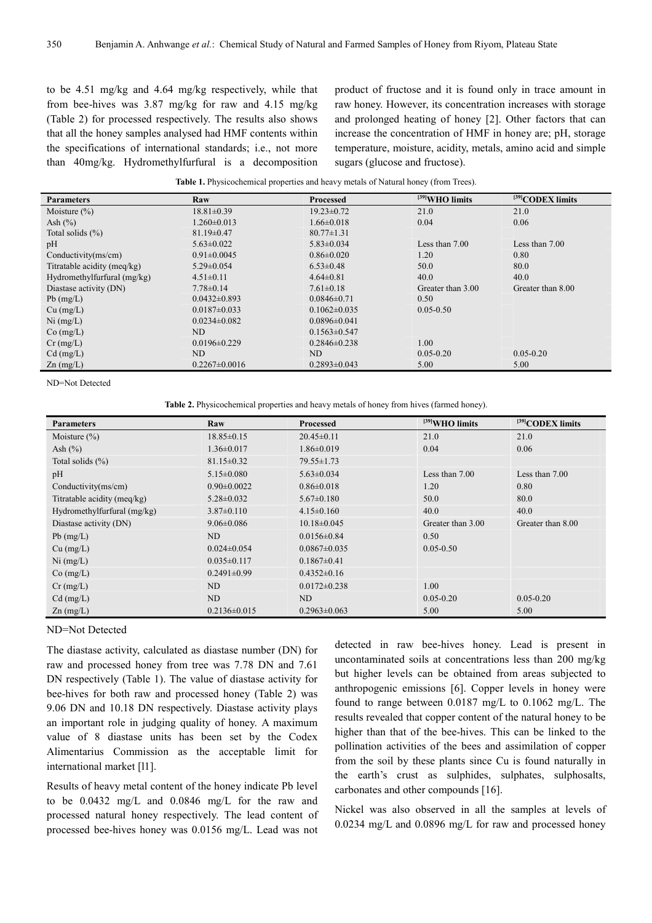to be 4.51 mg/kg and 4.64 mg/kg respectively, while that from bee-hives was 3.87 mg/kg for raw and 4.15 mg/kg (Table 2) for processed respectively. The results also shows that all the honey samples analysed had HMF contents within the specifications of international standards; i.e., not more than 40mg/kg. Hydromethylfurfural is a decomposition product of fructose and it is found only in trace amount in raw honey. However, its concentration increases with storage and prolonged heating of honey [2]. Other factors that can increase the concentration of HMF in honey are; pH, storage temperature, moisture, acidity, metals, amino acid and simple sugars (glucose and fructose).

| <b>Table 1.</b> Physicochemical properties and heavy metals of Natural honey (from Trees). |  |  |
|--------------------------------------------------------------------------------------------|--|--|
|                                                                                            |  |  |

| <b>Parameters</b>           | Raw                 | <b>Processed</b>   | [39] WHO limits   | [39] CODEX limits |
|-----------------------------|---------------------|--------------------|-------------------|-------------------|
| Moisture $(\% )$            | $18.81 \pm 0.39$    | $19.23 \pm 0.72$   | 21.0              | 21.0              |
| Ash $(\% )$                 | $1.260 \pm 0.013$   | $1.66\pm0.018$     | 0.04              | 0.06              |
| Total solids $(\% )$        | $81.19 \pm 0.47$    | $80.77 \pm 1.31$   |                   |                   |
| pH                          | $5.63 \pm 0.022$    | $5.83 \pm 0.034$   | Less than $7.00$  | Less than $7.00$  |
| Conductivity(ms/cm)         | $0.91 \pm 0.0045$   | $0.86 \pm 0.020$   | 1.20              | 0.80              |
| Titratable acidity (meg/kg) | $5.29 \pm 0.054$    | $6.53 \pm 0.48$    | 50.0              | 80.0              |
| Hydromethylfurfural (mg/kg) | $4.51 \pm 0.11$     | $4.64\pm0.81$      | 40.0              | 40.0              |
| Diastase activity (DN)      | $7.78 \pm 0.14$     | $7.61 \pm 0.18$    | Greater than 3.00 | Greater than 8.00 |
| $Pb$ (mg/L)                 | $0.0432 \pm 0.893$  | $0.0846 \pm 0.71$  | 0.50              |                   |
| $Cu$ (mg/L)                 | $0.0187 \pm 0.033$  | $0.1062 \pm 0.035$ | $0.05 - 0.50$     |                   |
| $Ni$ (mg/L)                 | $0.0234 \pm 0.082$  | $0.0896 \pm 0.041$ |                   |                   |
| $Co$ (mg/L)                 | ND                  | $0.1563 \pm 0.547$ |                   |                   |
| $Cr$ (mg/L)                 | $0.0196 \pm 0.229$  | $0.2846 \pm 0.238$ | 1.00              |                   |
| $Cd$ (mg/L)                 | ND                  | ND                 | $0.05 - 0.20$     | $0.05 - 0.20$     |
| $Zn$ (mg/L)                 | $0.2267 \pm 0.0016$ | $0.2893 \pm 0.043$ | 5.00              | 5.00              |

ND=Not Detected

**Table 2.** Physicochemical properties and heavy metals of honey from hives (farmed honey).

| <b>Parameters</b>           | Raw                | <b>Processed</b>   | [39] WHO limits   | [39] CODEX limits |
|-----------------------------|--------------------|--------------------|-------------------|-------------------|
| Moisture $(\% )$            | $18.85 \pm 0.15$   | $20.45 \pm 0.11$   | 21.0              | 21.0              |
| Ash $(\% )$                 | $1.36 \pm 0.017$   | $1.86 \pm 0.019$   | 0.04              | 0.06              |
| Total solids $(\% )$        | $81.15 \pm 0.32$   | $79.55 \pm 1.73$   |                   |                   |
| pH                          | $5.15 \pm 0.080$   | $5.63 \pm 0.034$   | Less than $7.00$  | Less than $7.00$  |
| Conductivity $(ms/cm)$      | $0.90 \pm 0.0022$  | $0.86 \pm 0.018$   | 1.20              | 0.80              |
| Titratable acidity (meq/kg) | $5.28 \pm 0.032$   | $5.67 \pm 0.180$   | 50.0              | 80.0              |
| Hydromethylfurfural (mg/kg) | $3.87 \pm 0.110$   | $4.15 \pm 0.160$   | 40.0              | 40.0              |
| Diastase activity (DN)      | $9.06 \pm 0.086$   | $10.18 \pm 0.045$  | Greater than 3.00 | Greater than 8.00 |
| $Pb$ (mg/L)                 | ND                 | $0.0156 \pm 0.84$  | 0.50              |                   |
| $Cu$ (mg/L)                 | $0.024 \pm 0.054$  | $0.0867 \pm 0.035$ | $0.05 - 0.50$     |                   |
| $Ni$ (mg/L)                 | $0.035 \pm 0.117$  | $0.1867 \pm 0.41$  |                   |                   |
| $Co$ (mg/L)                 | $0.2491 \pm 0.99$  | $0.4352\pm0.16$    |                   |                   |
| $Cr$ (mg/L)                 | ND                 | $0.0172 \pm 0.238$ | 1.00              |                   |
| $Cd$ (mg/L)                 | ND                 | ND                 | $0.05 - 0.20$     | $0.05 - 0.20$     |
| $Zn$ (mg/L)                 | $0.2136 \pm 0.015$ | $0.2963 \pm 0.063$ | 5.00              | 5.00              |

#### ND=Not Detected

The diastase activity, calculated as diastase number (DN) for raw and processed honey from tree was 7.78 DN and 7.61 DN respectively (Table 1). The value of diastase activity for bee-hives for both raw and processed honey (Table 2) was 9.06 DN and 10.18 DN respectively. Diastase activity plays an important role in judging quality of honey. A maximum value of 8 diastase units has been set by the Codex Alimentarius Commission as the acceptable limit for international market [l1].

Results of heavy metal content of the honey indicate Pb level to be 0.0432 mg/L and 0.0846 mg/L for the raw and processed natural honey respectively. The lead content of processed bee-hives honey was 0.0156 mg/L. Lead was not detected in raw bee-hives honey. Lead is present in uncontaminated soils at concentrations less than 200 mg/kg but higher levels can be obtained from areas subjected to anthropogenic emissions [6]. Copper levels in honey were found to range between 0.0187 mg/L to 0.1062 mg/L. The results revealed that copper content of the natural honey to be higher than that of the bee-hives. This can be linked to the pollination activities of the bees and assimilation of copper from the soil by these plants since Cu is found naturally in the earth's crust as sulphides, sulphates, sulphosalts, carbonates and other compounds [16].

Nickel was also observed in all the samples at levels of 0.0234 mg/L and 0.0896 mg/L for raw and processed honey